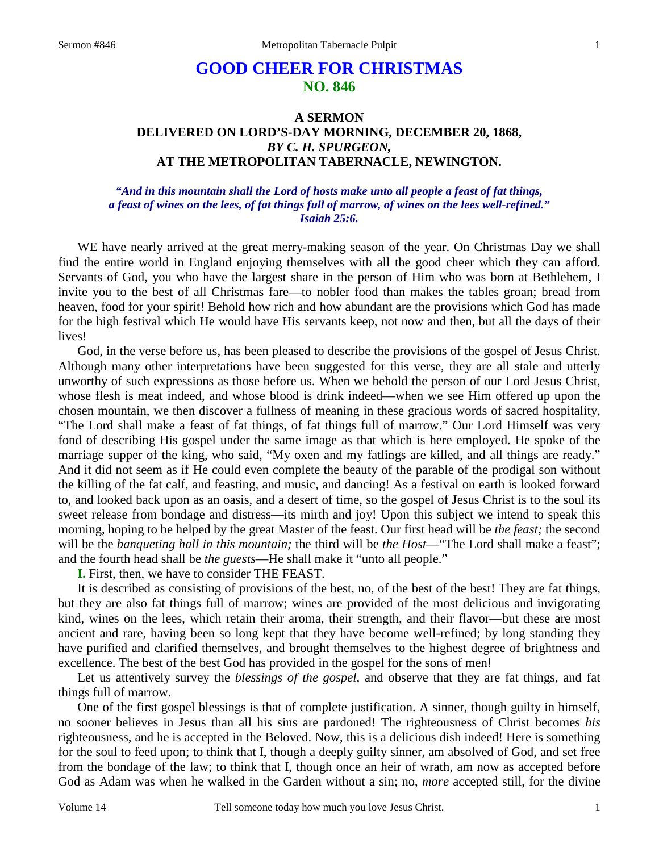# **GOOD CHEER FOR CHRISTMAS NO. 846**

## **A SERMON DELIVERED ON LORD'S-DAY MORNING, DECEMBER 20, 1868,** *BY C. H. SPURGEON,*  **AT THE METROPOLITAN TABERNACLE, NEWINGTON.**

*"And in this mountain shall the Lord of hosts make unto all people a feast of fat things, a feast of wines on the lees, of fat things full of marrow, of wines on the lees well-refined." Isaiah 25:6.* 

WE have nearly arrived at the great merry-making season of the year. On Christmas Day we shall find the entire world in England enjoying themselves with all the good cheer which they can afford. Servants of God, you who have the largest share in the person of Him who was born at Bethlehem, I invite you to the best of all Christmas fare—to nobler food than makes the tables groan; bread from heaven, food for your spirit! Behold how rich and how abundant are the provisions which God has made for the high festival which He would have His servants keep, not now and then, but all the days of their lives!

 God, in the verse before us, has been pleased to describe the provisions of the gospel of Jesus Christ. Although many other interpretations have been suggested for this verse, they are all stale and utterly unworthy of such expressions as those before us. When we behold the person of our Lord Jesus Christ, whose flesh is meat indeed, and whose blood is drink indeed—when we see Him offered up upon the chosen mountain, we then discover a fullness of meaning in these gracious words of sacred hospitality, "The Lord shall make a feast of fat things, of fat things full of marrow." Our Lord Himself was very fond of describing His gospel under the same image as that which is here employed. He spoke of the marriage supper of the king, who said, "My oxen and my fatlings are killed, and all things are ready." And it did not seem as if He could even complete the beauty of the parable of the prodigal son without the killing of the fat calf, and feasting, and music, and dancing! As a festival on earth is looked forward to, and looked back upon as an oasis, and a desert of time, so the gospel of Jesus Christ is to the soul its sweet release from bondage and distress—its mirth and joy! Upon this subject we intend to speak this morning, hoping to be helped by the great Master of the feast. Our first head will be *the feast;* the second will be the *banqueting hall in this mountain;* the third will be *the Host*—"The Lord shall make a feast"; and the fourth head shall be *the guests*—He shall make it "unto all people."

**I.** First, then, we have to consider THE FEAST.

 It is described as consisting of provisions of the best, no, of the best of the best! They are fat things, but they are also fat things full of marrow; wines are provided of the most delicious and invigorating kind, wines on the lees, which retain their aroma, their strength, and their flavor—but these are most ancient and rare, having been so long kept that they have become well-refined; by long standing they have purified and clarified themselves, and brought themselves to the highest degree of brightness and excellence. The best of the best God has provided in the gospel for the sons of men!

 Let us attentively survey the *blessings of the gospel,* and observe that they are fat things, and fat things full of marrow.

 One of the first gospel blessings is that of complete justification. A sinner, though guilty in himself, no sooner believes in Jesus than all his sins are pardoned! The righteousness of Christ becomes *his* righteousness, and he is accepted in the Beloved. Now, this is a delicious dish indeed! Here is something for the soul to feed upon; to think that I, though a deeply guilty sinner, am absolved of God, and set free from the bondage of the law; to think that I, though once an heir of wrath, am now as accepted before God as Adam was when he walked in the Garden without a sin; no, *more* accepted still, for the divine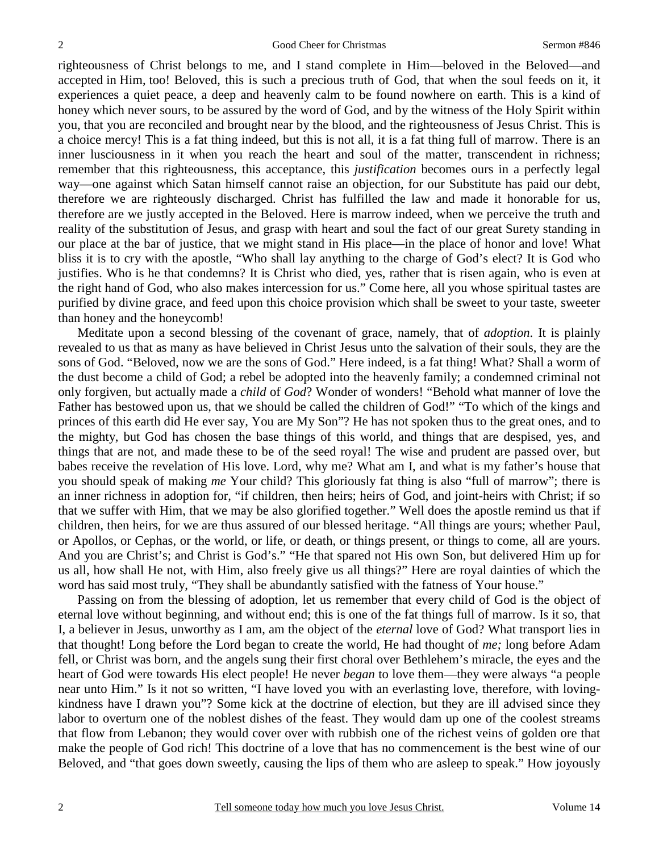righteousness of Christ belongs to me, and I stand complete in Him—beloved in the Beloved—and accepted in Him, too! Beloved, this is such a precious truth of God, that when the soul feeds on it, it experiences a quiet peace, a deep and heavenly calm to be found nowhere on earth. This is a kind of honey which never sours, to be assured by the word of God, and by the witness of the Holy Spirit within you, that you are reconciled and brought near by the blood, and the righteousness of Jesus Christ. This is a choice mercy! This is a fat thing indeed, but this is not all, it is a fat thing full of marrow. There is an inner lusciousness in it when you reach the heart and soul of the matter, transcendent in richness; remember that this righteousness, this acceptance, this *justification* becomes ours in a perfectly legal way—one against which Satan himself cannot raise an objection, for our Substitute has paid our debt, therefore we are righteously discharged. Christ has fulfilled the law and made it honorable for us, therefore are we justly accepted in the Beloved. Here is marrow indeed, when we perceive the truth and reality of the substitution of Jesus, and grasp with heart and soul the fact of our great Surety standing in our place at the bar of justice, that we might stand in His place—in the place of honor and love! What bliss it is to cry with the apostle, "Who shall lay anything to the charge of God's elect? It is God who justifies. Who is he that condemns? It is Christ who died, yes, rather that is risen again, who is even at the right hand of God, who also makes intercession for us." Come here, all you whose spiritual tastes are purified by divine grace, and feed upon this choice provision which shall be sweet to your taste, sweeter than honey and the honeycomb!

 Meditate upon a second blessing of the covenant of grace, namely, that of *adoption*. It is plainly revealed to us that as many as have believed in Christ Jesus unto the salvation of their souls, they are the sons of God. "Beloved, now we are the sons of God." Here indeed, is a fat thing! What? Shall a worm of the dust become a child of God; a rebel be adopted into the heavenly family; a condemned criminal not only forgiven, but actually made a *child* of *God*? Wonder of wonders! "Behold what manner of love the Father has bestowed upon us, that we should be called the children of God!" "To which of the kings and princes of this earth did He ever say, You are My Son"? He has not spoken thus to the great ones, and to the mighty, but God has chosen the base things of this world, and things that are despised, yes, and things that are not, and made these to be of the seed royal! The wise and prudent are passed over, but babes receive the revelation of His love. Lord, why me? What am I, and what is my father's house that you should speak of making *me* Your child? This gloriously fat thing is also "full of marrow"; there is an inner richness in adoption for, "if children, then heirs; heirs of God, and joint-heirs with Christ; if so that we suffer with Him, that we may be also glorified together." Well does the apostle remind us that if children, then heirs, for we are thus assured of our blessed heritage. "All things are yours; whether Paul, or Apollos, or Cephas, or the world, or life, or death, or things present, or things to come, all are yours. And you are Christ's; and Christ is God's." "He that spared not His own Son, but delivered Him up for us all, how shall He not, with Him, also freely give us all things?" Here are royal dainties of which the word has said most truly, "They shall be abundantly satisfied with the fatness of Your house."

 Passing on from the blessing of adoption, let us remember that every child of God is the object of eternal love without beginning, and without end; this is one of the fat things full of marrow. Is it so, that I, a believer in Jesus, unworthy as I am, am the object of the *eternal* love of God? What transport lies in that thought! Long before the Lord began to create the world, He had thought of *me;* long before Adam fell, or Christ was born, and the angels sung their first choral over Bethlehem's miracle, the eyes and the heart of God were towards His elect people! He never *began* to love them—they were always "a people near unto Him." Is it not so written, "I have loved you with an everlasting love, therefore, with lovingkindness have I drawn you"? Some kick at the doctrine of election, but they are ill advised since they labor to overturn one of the noblest dishes of the feast. They would dam up one of the coolest streams that flow from Lebanon; they would cover over with rubbish one of the richest veins of golden ore that make the people of God rich! This doctrine of a love that has no commencement is the best wine of our Beloved, and "that goes down sweetly, causing the lips of them who are asleep to speak." How joyously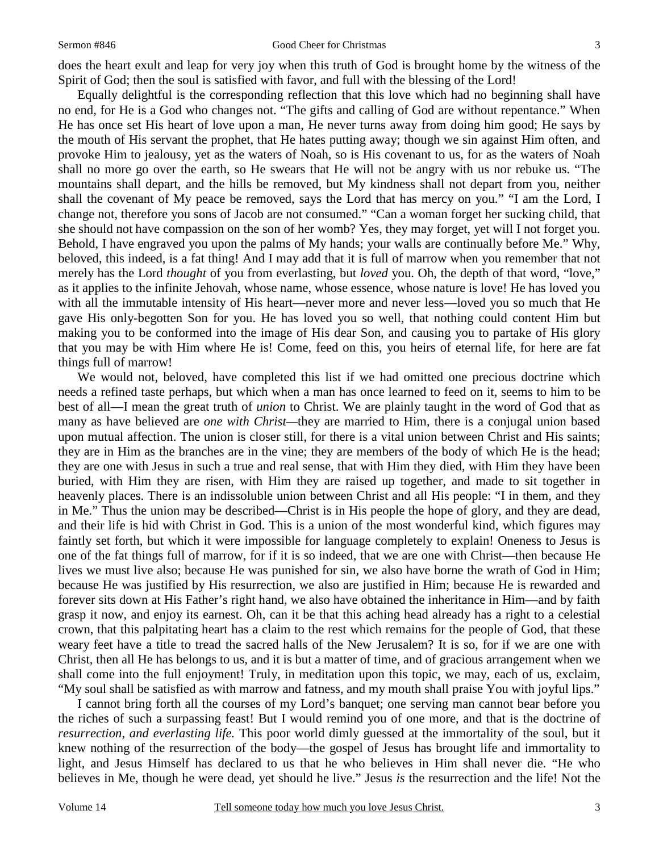#### Sermon #846 Good Cheer for Christmas

does the heart exult and leap for very joy when this truth of God is brought home by the witness of the Spirit of God; then the soul is satisfied with favor, and full with the blessing of the Lord!

 Equally delightful is the corresponding reflection that this love which had no beginning shall have no end, for He is a God who changes not. "The gifts and calling of God are without repentance." When He has once set His heart of love upon a man, He never turns away from doing him good; He says by the mouth of His servant the prophet, that He hates putting away; though we sin against Him often, and provoke Him to jealousy, yet as the waters of Noah, so is His covenant to us, for as the waters of Noah shall no more go over the earth, so He swears that He will not be angry with us nor rebuke us. "The mountains shall depart, and the hills be removed, but My kindness shall not depart from you, neither shall the covenant of My peace be removed, says the Lord that has mercy on you." "I am the Lord, I change not, therefore you sons of Jacob are not consumed." "Can a woman forget her sucking child, that she should not have compassion on the son of her womb? Yes, they may forget, yet will I not forget you. Behold, I have engraved you upon the palms of My hands; your walls are continually before Me." Why, beloved, this indeed, is a fat thing! And I may add that it is full of marrow when you remember that not merely has the Lord *thought* of you from everlasting, but *loved* you. Oh, the depth of that word, "love," as it applies to the infinite Jehovah, whose name, whose essence, whose nature is love! He has loved you with all the immutable intensity of His heart—never more and never less—loved you so much that He gave His only-begotten Son for you. He has loved you so well, that nothing could content Him but making you to be conformed into the image of His dear Son, and causing you to partake of His glory that you may be with Him where He is! Come, feed on this, you heirs of eternal life, for here are fat things full of marrow!

 We would not, beloved, have completed this list if we had omitted one precious doctrine which needs a refined taste perhaps, but which when a man has once learned to feed on it, seems to him to be best of all—I mean the great truth of *union* to Christ. We are plainly taught in the word of God that as many as have believed are *one with Christ—*they are married to Him, there is a conjugal union based upon mutual affection. The union is closer still, for there is a vital union between Christ and His saints; they are in Him as the branches are in the vine; they are members of the body of which He is the head; they are one with Jesus in such a true and real sense, that with Him they died, with Him they have been buried, with Him they are risen, with Him they are raised up together, and made to sit together in heavenly places. There is an indissoluble union between Christ and all His people: "I in them, and they in Me." Thus the union may be described—Christ is in His people the hope of glory, and they are dead, and their life is hid with Christ in God. This is a union of the most wonderful kind, which figures may faintly set forth, but which it were impossible for language completely to explain! Oneness to Jesus is one of the fat things full of marrow, for if it is so indeed, that we are one with Christ—then because He lives we must live also; because He was punished for sin, we also have borne the wrath of God in Him; because He was justified by His resurrection, we also are justified in Him; because He is rewarded and forever sits down at His Father's right hand, we also have obtained the inheritance in Him—and by faith grasp it now, and enjoy its earnest. Oh, can it be that this aching head already has a right to a celestial crown, that this palpitating heart has a claim to the rest which remains for the people of God, that these weary feet have a title to tread the sacred halls of the New Jerusalem? It is so, for if we are one with Christ, then all He has belongs to us, and it is but a matter of time, and of gracious arrangement when we shall come into the full enjoyment! Truly, in meditation upon this topic, we may, each of us, exclaim, "My soul shall be satisfied as with marrow and fatness, and my mouth shall praise You with joyful lips."

 I cannot bring forth all the courses of my Lord's banquet; one serving man cannot bear before you the riches of such a surpassing feast! But I would remind you of one more, and that is the doctrine of *resurrection, and everlasting life.* This poor world dimly guessed at the immortality of the soul, but it knew nothing of the resurrection of the body—the gospel of Jesus has brought life and immortality to light, and Jesus Himself has declared to us that he who believes in Him shall never die. "He who believes in Me, though he were dead, yet should he live." Jesus *is* the resurrection and the life! Not the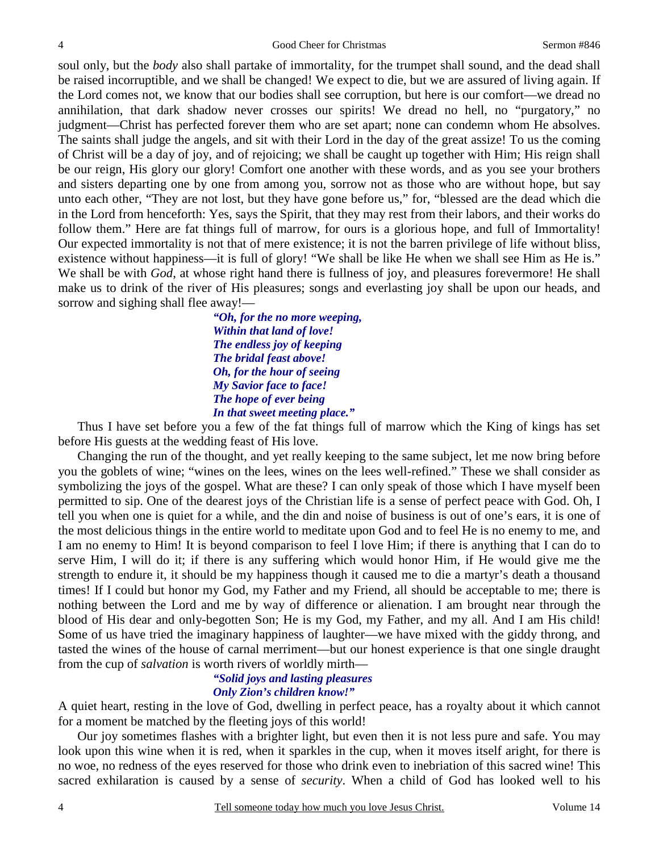soul only, but the *body* also shall partake of immortality, for the trumpet shall sound, and the dead shall be raised incorruptible, and we shall be changed! We expect to die, but we are assured of living again. If the Lord comes not, we know that our bodies shall see corruption, but here is our comfort—we dread no annihilation, that dark shadow never crosses our spirits! We dread no hell, no "purgatory," no judgment—Christ has perfected forever them who are set apart; none can condemn whom He absolves. The saints shall judge the angels, and sit with their Lord in the day of the great assize! To us the coming of Christ will be a day of joy, and of rejoicing; we shall be caught up together with Him; His reign shall be our reign, His glory our glory! Comfort one another with these words, and as you see your brothers and sisters departing one by one from among you, sorrow not as those who are without hope, but say unto each other, "They are not lost, but they have gone before us," for, "blessed are the dead which die in the Lord from henceforth: Yes, says the Spirit, that they may rest from their labors, and their works do follow them." Here are fat things full of marrow, for ours is a glorious hope, and full of Immortality! Our expected immortality is not that of mere existence; it is not the barren privilege of life without bliss, existence without happiness—it is full of glory! "We shall be like He when we shall see Him as He is." We shall be with *God*, at whose right hand there is fullness of joy, and pleasures forevermore! He shall make us to drink of the river of His pleasures; songs and everlasting joy shall be upon our heads, and sorrow and sighing shall flee away!—

> *"Oh, for the no more weeping, Within that land of love! The endless joy of keeping The bridal feast above! Oh, for the hour of seeing My Savior face to face! The hope of ever being In that sweet meeting place."*

 Thus I have set before you a few of the fat things full of marrow which the King of kings has set before His guests at the wedding feast of His love.

 Changing the run of the thought, and yet really keeping to the same subject, let me now bring before you the goblets of wine; "wines on the lees, wines on the lees well-refined." These we shall consider as symbolizing the joys of the gospel. What are these? I can only speak of those which I have myself been permitted to sip. One of the dearest joys of the Christian life is a sense of perfect peace with God. Oh, I tell you when one is quiet for a while, and the din and noise of business is out of one's ears, it is one of the most delicious things in the entire world to meditate upon God and to feel He is no enemy to me, and I am no enemy to Him! It is beyond comparison to feel I love Him; if there is anything that I can do to serve Him, I will do it; if there is any suffering which would honor Him, if He would give me the strength to endure it, it should be my happiness though it caused me to die a martyr's death a thousand times! If I could but honor my God, my Father and my Friend, all should be acceptable to me; there is nothing between the Lord and me by way of difference or alienation. I am brought near through the blood of His dear and only-begotten Son; He is my God, my Father, and my all. And I am His child! Some of us have tried the imaginary happiness of laughter—we have mixed with the giddy throng, and tasted the wines of the house of carnal merriment—but our honest experience is that one single draught from the cup of *salvation* is worth rivers of worldly mirth—

### *"Solid joys and lasting pleasures Only Zion's children know!"*

A quiet heart, resting in the love of God, dwelling in perfect peace, has a royalty about it which cannot for a moment be matched by the fleeting joys of this world!

Our joy sometimes flashes with a brighter light, but even then it is not less pure and safe. You may look upon this wine when it is red, when it sparkles in the cup, when it moves itself aright, for there is no woe, no redness of the eyes reserved for those who drink even to inebriation of this sacred wine! This sacred exhilaration is caused by a sense of *security*. When a child of God has looked well to his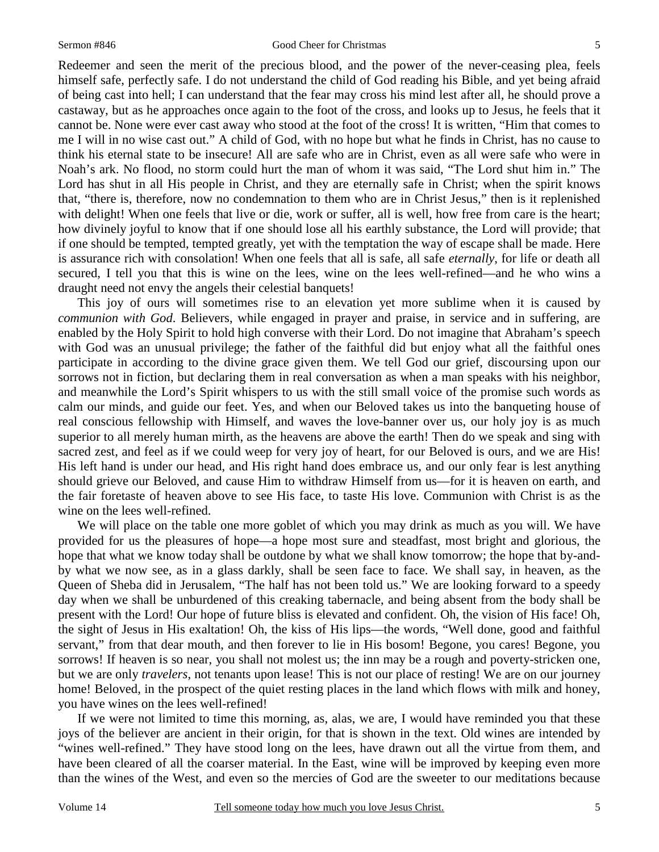#### Sermon #846 Good Cheer for Christmas

Redeemer and seen the merit of the precious blood, and the power of the never-ceasing plea, feels himself safe, perfectly safe. I do not understand the child of God reading his Bible, and yet being afraid of being cast into hell; I can understand that the fear may cross his mind lest after all, he should prove a castaway, but as he approaches once again to the foot of the cross, and looks up to Jesus, he feels that it cannot be. None were ever cast away who stood at the foot of the cross! It is written, "Him that comes to me I will in no wise cast out." A child of God, with no hope but what he finds in Christ, has no cause to think his eternal state to be insecure! All are safe who are in Christ, even as all were safe who were in Noah's ark. No flood, no storm could hurt the man of whom it was said, "The Lord shut him in." The Lord has shut in all His people in Christ, and they are eternally safe in Christ; when the spirit knows that, "there is, therefore, now no condemnation to them who are in Christ Jesus," then is it replenished with delight! When one feels that live or die, work or suffer, all is well, how free from care is the heart; how divinely joyful to know that if one should lose all his earthly substance, the Lord will provide; that if one should be tempted, tempted greatly, yet with the temptation the way of escape shall be made. Here is assurance rich with consolation! When one feels that all is safe, all safe *eternally*, for life or death all secured, I tell you that this is wine on the lees, wine on the lees well-refined—and he who wins a draught need not envy the angels their celestial banquets!

 This joy of ours will sometimes rise to an elevation yet more sublime when it is caused by *communion with God*. Believers, while engaged in prayer and praise, in service and in suffering, are enabled by the Holy Spirit to hold high converse with their Lord. Do not imagine that Abraham's speech with God was an unusual privilege; the father of the faithful did but enjoy what all the faithful ones participate in according to the divine grace given them. We tell God our grief, discoursing upon our sorrows not in fiction, but declaring them in real conversation as when a man speaks with his neighbor, and meanwhile the Lord's Spirit whispers to us with the still small voice of the promise such words as calm our minds, and guide our feet. Yes, and when our Beloved takes us into the banqueting house of real conscious fellowship with Himself, and waves the love-banner over us, our holy joy is as much superior to all merely human mirth, as the heavens are above the earth! Then do we speak and sing with sacred zest, and feel as if we could weep for very joy of heart, for our Beloved is ours, and we are His! His left hand is under our head, and His right hand does embrace us, and our only fear is lest anything should grieve our Beloved, and cause Him to withdraw Himself from us—for it is heaven on earth, and the fair foretaste of heaven above to see His face, to taste His love. Communion with Christ is as the wine on the lees well-refined.

 We will place on the table one more goblet of which you may drink as much as you will. We have provided for us the pleasures of hope—a hope most sure and steadfast, most bright and glorious, the hope that what we know today shall be outdone by what we shall know tomorrow; the hope that by-andby what we now see, as in a glass darkly, shall be seen face to face. We shall say, in heaven, as the Queen of Sheba did in Jerusalem, "The half has not been told us." We are looking forward to a speedy day when we shall be unburdened of this creaking tabernacle, and being absent from the body shall be present with the Lord! Our hope of future bliss is elevated and confident. Oh, the vision of His face! Oh, the sight of Jesus in His exaltation! Oh, the kiss of His lips—the words, "Well done, good and faithful servant," from that dear mouth, and then forever to lie in His bosom! Begone, you cares! Begone, you sorrows! If heaven is so near, you shall not molest us; the inn may be a rough and poverty-stricken one, but we are only *travelers*, not tenants upon lease! This is not our place of resting! We are on our journey home! Beloved, in the prospect of the quiet resting places in the land which flows with milk and honey, you have wines on the lees well-refined!

 If we were not limited to time this morning, as, alas, we are, I would have reminded you that these joys of the believer are ancient in their origin, for that is shown in the text. Old wines are intended by "wines well-refined." They have stood long on the lees, have drawn out all the virtue from them, and have been cleared of all the coarser material. In the East, wine will be improved by keeping even more than the wines of the West, and even so the mercies of God are the sweeter to our meditations because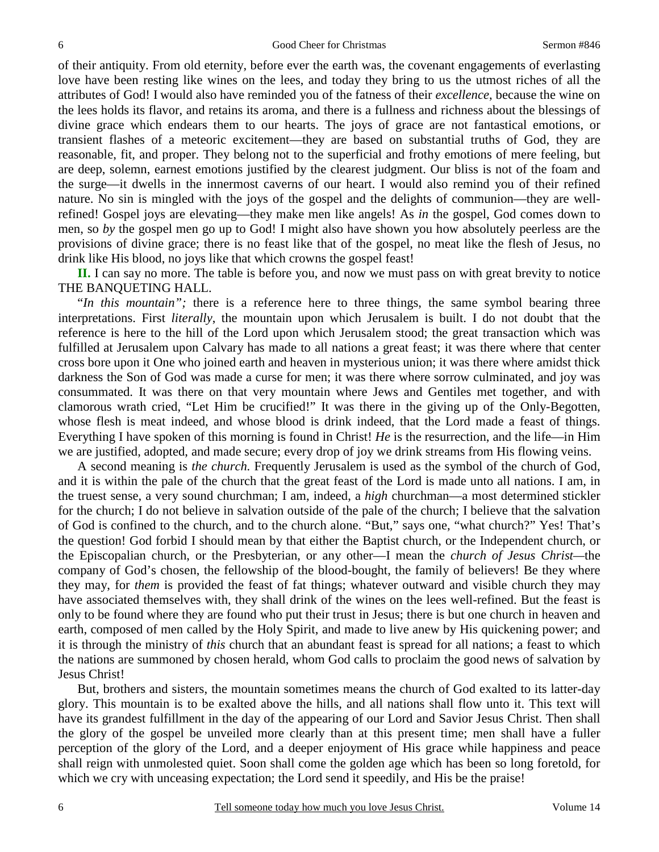of their antiquity. From old eternity, before ever the earth was, the covenant engagements of everlasting love have been resting like wines on the lees, and today they bring to us the utmost riches of all the attributes of God! I would also have reminded you of the fatness of their *excellence*, because the wine on the lees holds its flavor, and retains its aroma, and there is a fullness and richness about the blessings of divine grace which endears them to our hearts. The joys of grace are not fantastical emotions, or transient flashes of a meteoric excitement—they are based on substantial truths of God, they are reasonable, fit, and proper. They belong not to the superficial and frothy emotions of mere feeling, but are deep, solemn, earnest emotions justified by the clearest judgment. Our bliss is not of the foam and the surge—it dwells in the innermost caverns of our heart. I would also remind you of their refined nature. No sin is mingled with the joys of the gospel and the delights of communion—they are wellrefined! Gospel joys are elevating—they make men like angels! As *in* the gospel, God comes down to men, so *by* the gospel men go up to God! I might also have shown you how absolutely peerless are the provisions of divine grace; there is no feast like that of the gospel, no meat like the flesh of Jesus, no drink like His blood, no joys like that which crowns the gospel feast!

**II.** I can say no more. The table is before you, and now we must pass on with great brevity to notice THE BANQUETING HALL.

 "*In this mountain";* there is a reference here to three things, the same symbol bearing three interpretations. First *literally*, the mountain upon which Jerusalem is built. I do not doubt that the reference is here to the hill of the Lord upon which Jerusalem stood; the great transaction which was fulfilled at Jerusalem upon Calvary has made to all nations a great feast; it was there where that center cross bore upon it One who joined earth and heaven in mysterious union; it was there where amidst thick darkness the Son of God was made a curse for men; it was there where sorrow culminated, and joy was consummated. It was there on that very mountain where Jews and Gentiles met together, and with clamorous wrath cried, "Let Him be crucified!" It was there in the giving up of the Only-Begotten, whose flesh is meat indeed, and whose blood is drink indeed, that the Lord made a feast of things. Everything I have spoken of this morning is found in Christ! *He* is the resurrection, and the life—in Him we are justified, adopted, and made secure; every drop of joy we drink streams from His flowing veins.

 A second meaning is *the church.* Frequently Jerusalem is used as the symbol of the church of God, and it is within the pale of the church that the great feast of the Lord is made unto all nations. I am, in the truest sense, a very sound churchman; I am, indeed, a *high* churchman—a most determined stickler for the church; I do not believe in salvation outside of the pale of the church; I believe that the salvation of God is confined to the church, and to the church alone. "But," says one, "what church?" Yes! That's the question! God forbid I should mean by that either the Baptist church, or the Independent church, or the Episcopalian church, or the Presbyterian, or any other—I mean the *church of Jesus Christ—*the company of God's chosen, the fellowship of the blood-bought, the family of believers! Be they where they may, for *them* is provided the feast of fat things; whatever outward and visible church they may have associated themselves with, they shall drink of the wines on the lees well-refined. But the feast is only to be found where they are found who put their trust in Jesus; there is but one church in heaven and earth, composed of men called by the Holy Spirit, and made to live anew by His quickening power; and it is through the ministry of *this* church that an abundant feast is spread for all nations; a feast to which the nations are summoned by chosen herald, whom God calls to proclaim the good news of salvation by Jesus Christ!

 But, brothers and sisters, the mountain sometimes means the church of God exalted to its latter-day glory. This mountain is to be exalted above the hills, and all nations shall flow unto it. This text will have its grandest fulfillment in the day of the appearing of our Lord and Savior Jesus Christ. Then shall the glory of the gospel be unveiled more clearly than at this present time; men shall have a fuller perception of the glory of the Lord, and a deeper enjoyment of His grace while happiness and peace shall reign with unmolested quiet. Soon shall come the golden age which has been so long foretold, for which we cry with unceasing expectation; the Lord send it speedily, and His be the praise!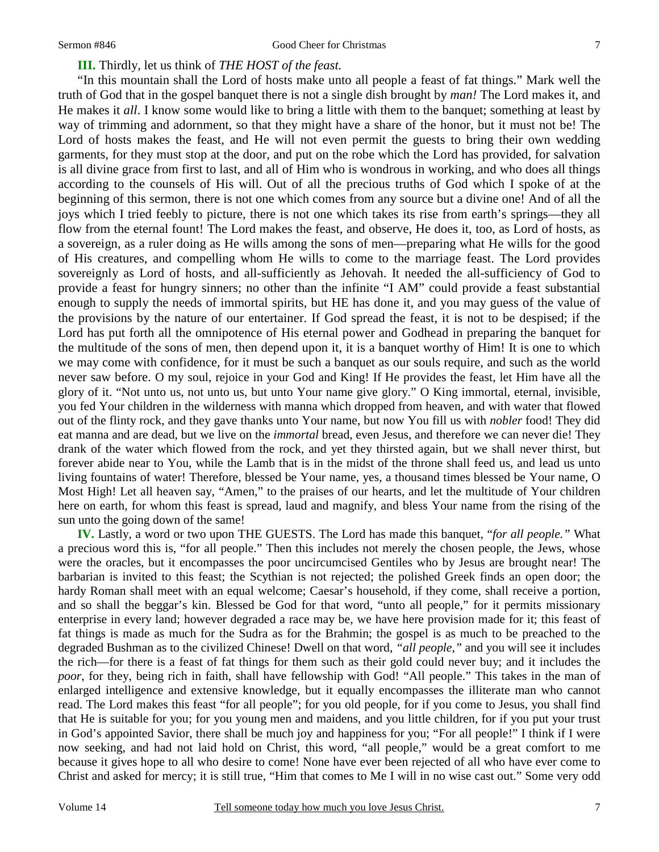#### **III.** Thirdly, let us think of *THE HOST of the feast.*

 "In this mountain shall the Lord of hosts make unto all people a feast of fat things." Mark well the truth of God that in the gospel banquet there is not a single dish brought by *man!* The Lord makes it, and He makes it *all*. I know some would like to bring a little with them to the banquet; something at least by way of trimming and adornment, so that they might have a share of the honor, but it must not be! The Lord of hosts makes the feast, and He will not even permit the guests to bring their own wedding garments, for they must stop at the door, and put on the robe which the Lord has provided, for salvation is all divine grace from first to last, and all of Him who is wondrous in working, and who does all things according to the counsels of His will. Out of all the precious truths of God which I spoke of at the beginning of this sermon, there is not one which comes from any source but a divine one! And of all the joys which I tried feebly to picture, there is not one which takes its rise from earth's springs—they all flow from the eternal fount! The Lord makes the feast, and observe, He does it, too, as Lord of hosts, as a sovereign, as a ruler doing as He wills among the sons of men—preparing what He wills for the good of His creatures, and compelling whom He wills to come to the marriage feast. The Lord provides sovereignly as Lord of hosts, and all-sufficiently as Jehovah. It needed the all-sufficiency of God to provide a feast for hungry sinners; no other than the infinite "I AM" could provide a feast substantial enough to supply the needs of immortal spirits, but HE has done it, and you may guess of the value of the provisions by the nature of our entertainer. If God spread the feast, it is not to be despised; if the Lord has put forth all the omnipotence of His eternal power and Godhead in preparing the banquet for the multitude of the sons of men, then depend upon it, it is a banquet worthy of Him! It is one to which we may come with confidence, for it must be such a banquet as our souls require, and such as the world never saw before. O my soul, rejoice in your God and King! If He provides the feast, let Him have all the glory of it. "Not unto us, not unto us, but unto Your name give glory." O King immortal, eternal, invisible, you fed Your children in the wilderness with manna which dropped from heaven, and with water that flowed out of the flinty rock, and they gave thanks unto Your name, but now You fill us with *nobler* food! They did eat manna and are dead, but we live on the *immortal* bread, even Jesus, and therefore we can never die! They drank of the water which flowed from the rock, and yet they thirsted again, but we shall never thirst, but forever abide near to You, while the Lamb that is in the midst of the throne shall feed us, and lead us unto living fountains of water! Therefore, blessed be Your name, yes, a thousand times blessed be Your name, O Most High! Let all heaven say, "Amen," to the praises of our hearts, and let the multitude of Your children here on earth, for whom this feast is spread, laud and magnify, and bless Your name from the rising of the sun unto the going down of the same!

**IV.** Lastly, a word or two upon THE GUESTS. The Lord has made this banquet, "*for all people."* What a precious word this is, "for all people." Then this includes not merely the chosen people, the Jews, whose were the oracles, but it encompasses the poor uncircumcised Gentiles who by Jesus are brought near! The barbarian is invited to this feast; the Scythian is not rejected; the polished Greek finds an open door; the hardy Roman shall meet with an equal welcome; Caesar's household, if they come, shall receive a portion, and so shall the beggar's kin. Blessed be God for that word, "unto all people," for it permits missionary enterprise in every land; however degraded a race may be, we have here provision made for it; this feast of fat things is made as much for the Sudra as for the Brahmin; the gospel is as much to be preached to the degraded Bushman as to the civilized Chinese! Dwell on that word, *"all people,"* and you will see it includes the rich—for there is a feast of fat things for them such as their gold could never buy; and it includes the *poor*, for they, being rich in faith, shall have fellowship with God! "All people." This takes in the man of enlarged intelligence and extensive knowledge, but it equally encompasses the illiterate man who cannot read. The Lord makes this feast "for all people"; for you old people, for if you come to Jesus, you shall find that He is suitable for you; for you young men and maidens, and you little children, for if you put your trust in God's appointed Savior, there shall be much joy and happiness for you; "For all people!" I think if I were now seeking, and had not laid hold on Christ, this word, "all people," would be a great comfort to me because it gives hope to all who desire to come! None have ever been rejected of all who have ever come to Christ and asked for mercy; it is still true, "Him that comes to Me I will in no wise cast out." Some very odd